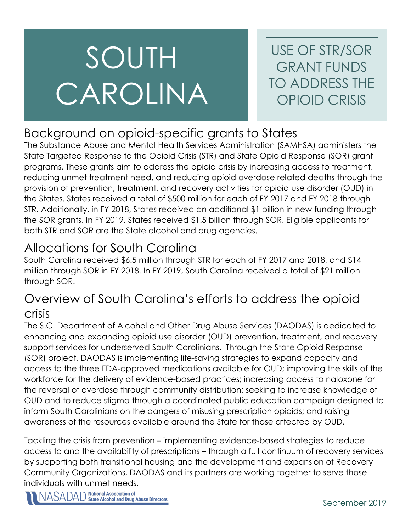# SOUTH CAROLINA

USE OF STR/SOR GRANT FUNDS TO ADDRESS THE OPIOID CRISIS

# Background on opioid-specific grants to States

The Substance Abuse and Mental Health Services Administration (SAMHSA) administers the State Targeted Response to the Opioid Crisis (STR) and State Opioid Response (SOR) grant programs. These grants aim to address the opioid crisis by increasing access to treatment, reducing unmet treatment need, and reducing opioid overdose related deaths through the provision of prevention, treatment, and recovery activities for opioid use disorder (OUD) in the States. States received a total of \$500 million for each of FY 2017 and FY 2018 through STR. Additionally, in FY 2018, States received an additional \$1 billion in new funding through the SOR grants. In FY 2019, States received \$1.5 billion through SOR. Eligible applicants for both STR and SOR are the State alcohol and drug agencies.

# Allocations for South Carolina

South Carolina received \$6.5 million through STR for each of FY 2017 and 2018, and \$14 million through SOR in FY 2018. In FY 2019, South Carolina received a total of \$21 million through SOR.

## Overview of South Carolina's efforts to address the opioid crisis

The S.C. Department of Alcohol and Other Drug Abuse Services (DAODAS) is dedicated to enhancing and expanding opioid use disorder (OUD) prevention, treatment, and recovery support services for underserved South Carolinians. Through the State Opioid Response (SOR) project, DAODAS is implementing life-saving strategies to expand capacity and access to the three FDA-approved medications available for OUD; improving the skills of the workforce for the delivery of evidence-based practices; increasing access to naloxone for the reversal of overdose through community distribution; seeking to increase knowledge of OUD and to reduce stigma through a coordinated public education campaign designed to inform South Carolinians on the dangers of misusing prescription opioids; and raising awareness of the resources available around the State for those affected by OUD.

Tackling the crisis from prevention – implementing evidence-based strategies to reduce access to and the availability of prescriptions – through a full continuum of recovery services by supporting both transitional housing and the development and expansion of Recovery Community Organizations, DAODAS and its partners are working together to serve those individuals with unmet needs.

**National Association of<br>State Alcohol and Drug Abuse Directors**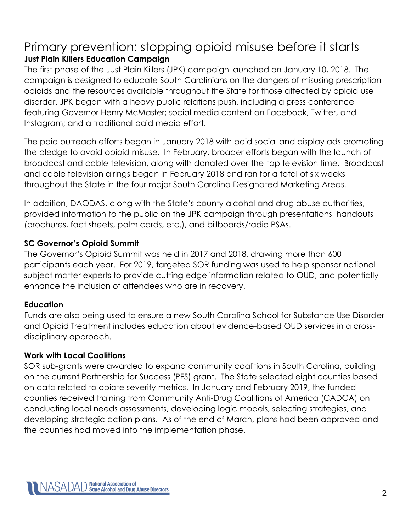## Primary prevention: stopping opioid misuse before it starts **Just Plain Killers Education Campaign**

The first phase of the Just Plain Killers (JPK) campaign launched on January 10, 2018. The campaign is designed to educate South Carolinians on the dangers of misusing prescription opioids and the resources available throughout the State for those affected by opioid use disorder. JPK began with a heavy public relations push, including a press conference featuring Governor Henry McMaster; social media content on Facebook, Twitter, and Instagram; and a traditional paid media effort.

The paid outreach efforts began in January 2018 with paid social and display ads promoting the pledge to avoid opioid misuse. In February, broader efforts began with the launch of broadcast and cable television, along with donated over-the-top television time. Broadcast and cable television airings began in February 2018 and ran for a total of six weeks throughout the State in the four major South Carolina Designated Marketing Areas.

In addition, DAODAS, along with the State's county alcohol and drug abuse authorities, provided information to the public on the JPK campaign through presentations, handouts (brochures, fact sheets, palm cards, etc.), and billboards/radio PSAs.

### **SC Governor's Opioid Summit**

The Governor's Opioid Summit was held in 2017 and 2018, drawing more than 600 participants each year. For 2019, targeted SOR funding was used to help sponsor national subject matter experts to provide cutting edge information related to OUD, and potentially enhance the inclusion of attendees who are in recovery.

#### **Education**

Funds are also being used to ensure a new South Carolina School for Substance Use Disorder and Opioid Treatment includes education about evidence-based OUD services in a crossdisciplinary approach.

#### **Work with Local Coalitions**

SOR sub-grants were awarded to expand community coalitions in South Carolina, building on the current Partnership for Success (PFS) grant. The State selected eight counties based on data related to opiate severity metrics. In January and February 2019, the funded counties received training from Community Anti-Drug Coalitions of America (CADCA) on conducting local needs assessments, developing logic models, selecting strategies, and developing strategic action plans. As of the end of March, plans had been approved and the counties had moved into the implementation phase.

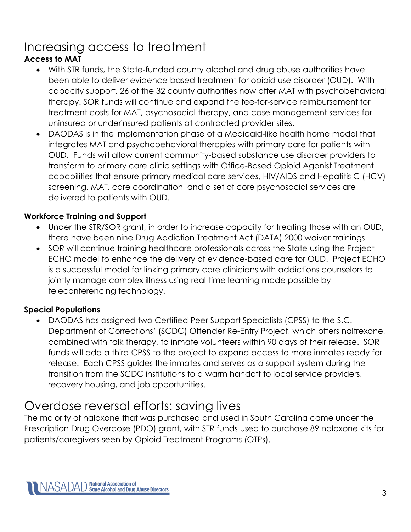# Increasing access to treatment

## **Access to MAT**

- With STR funds, the State-funded county alcohol and drug abuse authorities have been able to deliver evidence-based treatment for opioid use disorder (OUD). With capacity support, 26 of the 32 county authorities now offer MAT with psychobehavioral therapy. SOR funds will continue and expand the fee-for-service reimbursement for treatment costs for MAT, psychosocial therapy, and case management services for uninsured or underinsured patients at contracted provider sites.
- DAODAS is in the implementation phase of a Medicaid-like health home model that integrates MAT and psychobehavioral therapies with primary care for patients with OUD. Funds will allow current community-based substance use disorder providers to transform to primary care clinic settings with Office-Based Opioid Agonist Treatment capabilities that ensure primary medical care services, HIV/AIDS and Hepatitis C (HCV) screening, MAT, care coordination, and a set of core psychosocial services are delivered to patients with OUD.

## **Workforce Training and Support**

- Under the STR/SOR grant, in order to increase capacity for treating those with an OUD, there have been nine Drug Addiction Treatment Act (DATA) 2000 waiver trainings
- SOR will continue training healthcare professionals across the State using the Project ECHO model to enhance the delivery of evidence-based care for OUD. Project ECHO is a successful model for linking primary care clinicians with addictions counselors to jointly manage complex illness using real-time learning made possible by teleconferencing technology.

## **Special Populations**

• DAODAS has assigned two Certified Peer Support Specialists (CPSS) to the S.C. Department of Corrections' (SCDC) Offender Re-Entry Project, which offers naltrexone, combined with talk therapy, to inmate volunteers within 90 days of their release. SOR funds will add a third CPSS to the project to expand access to more inmates ready for release. Each CPSS guides the inmates and serves as a support system during the transition from the SCDC institutions to a warm handoff to local service providers, recovery housing, and job opportunities.

# Overdose reversal efforts: saving lives

The majority of naloxone that was purchased and used in South Carolina came under the Prescription Drug Overdose (PDO) grant, with STR funds used to purchase 89 naloxone kits for patients/caregivers seen by Opioid Treatment Programs (OTPs).

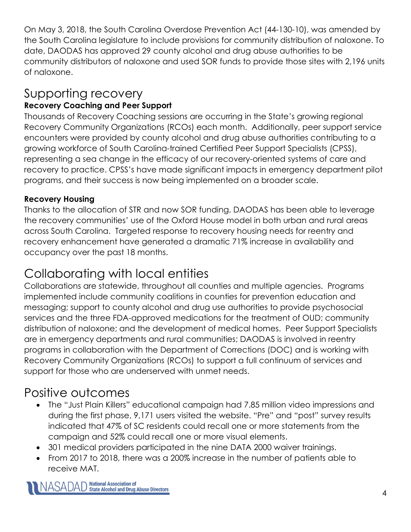On May 3, 2018, the South Carolina Overdose Prevention Act (44-130-10), was amended by the South Carolina legislature to include provisions for community distribution of naloxone. To date, DAODAS has approved 29 county alcohol and drug abuse authorities to be community distributors of naloxone and used SOR funds to provide those sites with 2,196 units of naloxone.

## Supporting recovery **Recovery Coaching and Peer Support**

Thousands of Recovery Coaching sessions are occurring in the State's growing regional Recovery Community Organizations (RCOs) each month. Additionally, peer support service encounters were provided by county alcohol and drug abuse authorities contributing to a growing workforce of South Carolina-trained Certified Peer Support Specialists (CPSS), representing a sea change in the efficacy of our recovery-oriented systems of care and recovery to practice. CPSS's have made significant impacts in emergency department pilot programs, and their success is now being implemented on a broader scale.

## **Recovery Housing**

Thanks to the allocation of STR and now SOR funding, DAODAS has been able to leverage the recovery communities' use of the Oxford House model in both urban and rural areas across South Carolina. Targeted response to recovery housing needs for reentry and recovery enhancement have generated a dramatic 71% increase in availability and occupancy over the past 18 months.

# Collaborating with local entities

Collaborations are statewide, throughout all counties and multiple agencies. Programs implemented include community coalitions in counties for prevention education and messaging; support to county alcohol and drug use authorities to provide psychosocial services and the three FDA-approved medications for the treatment of OUD; community distribution of naloxone; and the development of medical homes. Peer Support Specialists are in emergency departments and rural communities; DAODAS is involved in reentry programs in collaboration with the Department of Corrections (DOC) and is working with Recovery Community Organizations (RCOs) to support a full continuum of services and support for those who are underserved with unmet needs.

# Positive outcomes

- The "Just Plain Killers" educational campaign had 7.85 million video impressions and during the first phase, 9,171 users visited the website. "Pre" and "post" survey results indicated that 47% of SC residents could recall one or more statements from the campaign and 52% could recall one or more visual elements.
- 301 medical providers participated in the nine DATA 2000 waiver trainings.
- From 2017 to 2018, there was a 200% increase in the number of patients able to receive MAT.